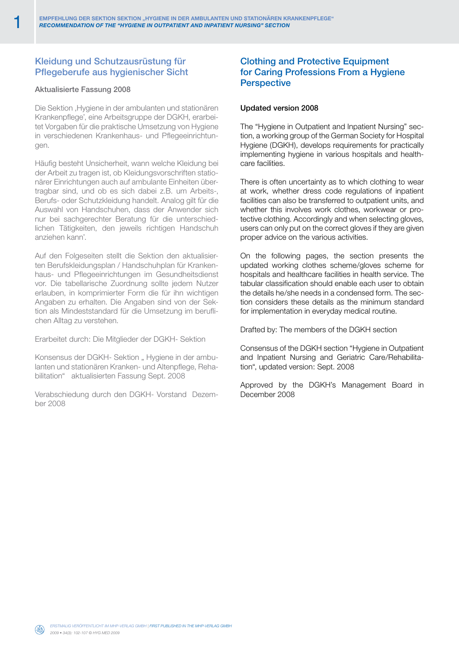## Kleidung und Schutzausrüstung für Pflegeberufe aus hygienischer Sicht

### Aktualisierte Fassung 2008

Die Sektion , Hygiene in der ambulanten und stationären Krankenpflege', eine Arbeitsgruppe der DGKH, erarbeitet Vorgaben für die praktische Umsetzung von Hygiene in verschiedenen Krankenhaus- und Pflegeeinrichtungen.

Häufig besteht Unsicherheit, wann welche Kleidung bei der Arbeit zu tragen ist, ob Kleidungsvorschriften stationärer Einrichtungen auch auf ambulante Einheiten übertragbar sind, und ob es sich dabei z.B. um Arbeits-, Berufs- oder Schutzkleidung handelt. Analog gilt für die Auswahl von Handschuhen, dass der Anwender sich nur bei sachgerechter Beratung für die unterschiedlichen Tätigkeiten, den jeweils richtigen Handschuh anziehen kann'.

Auf den Folgeseiten stellt die Sektion den aktualisierten Berufskleidungsplan / Handschuhplan für Krankenhaus- und Pflegeeinrichtungen im Gesundheitsdienst vor. Die tabellarische Zuordnung sollte jedem Nutzer erlauben, in komprimierter Form die für ihn wichtigen Angaben zu erhalten. Die Angaben sind von der Sektion als Mindeststandard für die Umsetzung im beruflichen Alltag zu verstehen.

Erarbeitet durch: Die Mitglieder der DGKH- Sektion

Konsensus der DGKH- Sektion "Hygiene in der ambulanten und stationären Kranken- und Altenpflege, Rehabilitation" aktualisierten Fassung Sept. 2008

Verabschiedung durch den DGKH- Vorstand Dezember 2008

## Clothing and Protective Equipment for Caring Professions From a Hygiene **Perspective**

#### Updated version 2008

The "Hygiene in Outpatient and Inpatient Nursing" section, a working group of the German Society for Hospital Hygiene (DGKH), develops requirements for practically implementing hygiene in various hospitals and healthcare facilities.

There is often uncertainty as to which clothing to wear at work, whether dress code regulations of inpatient facilities can also be transferred to outpatient units, and whether this involves work clothes, workwear or protective clothing. Accordingly and when selecting gloves, users can only put on the correct gloves if they are given proper advice on the various activities.

On the following pages, the section presents the updated working clothes scheme/gloves scheme for hospitals and healthcare facilities in health service. The tabular classification should enable each user to obtain the details he/she needs in a condensed form. The section considers these details as the minimum standard for implementation in everyday medical routine.

Drafted by: The members of the DGKH section

Consensus of the DGKH section "Hygiene in Outpatient and Inpatient Nursing and Geriatric Care/Rehabilitation", updated version: Sept. 2008

Approved by the DGKH's Management Board in December 2008

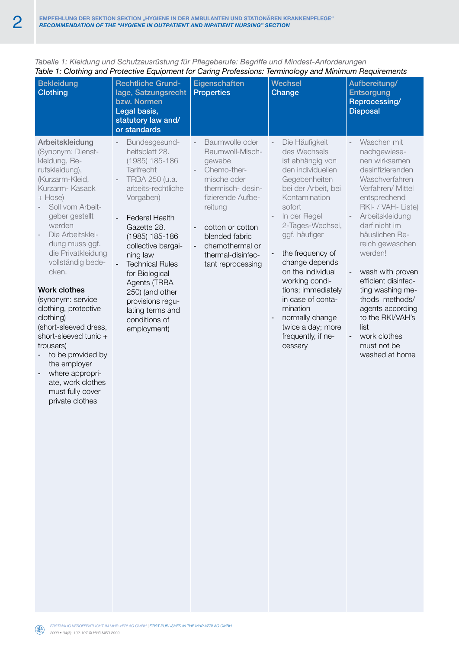| lable 1. Glounny and Frotecuve Equipment for Ganny Frotessions. Terminology and Minimum Requirements<br><b>Bekleidung</b><br><b>Clothing</b>                                                                                                                                                                                                                                                                                                                                                                                            | <b>Rechtliche Grund-</b><br>lage, Satzungsrecht<br>bzw. Normen<br>Legal basis,<br>statutory law and/<br>or standards                                                                                                                                                                                                                                                      | Eigenschaften<br><b>Properties</b>                                                                                                                                                                                                                                    | <b>Wechsel</b><br>Change                                                                                                                                                                                                                                                                                                                                                                                     | Aufbereitung/<br><b>Entsorgung</b><br>Reprocessing/<br><b>Disposal</b>                                                                                                                                                                                                                                                                                                                                                                                            |
|-----------------------------------------------------------------------------------------------------------------------------------------------------------------------------------------------------------------------------------------------------------------------------------------------------------------------------------------------------------------------------------------------------------------------------------------------------------------------------------------------------------------------------------------|---------------------------------------------------------------------------------------------------------------------------------------------------------------------------------------------------------------------------------------------------------------------------------------------------------------------------------------------------------------------------|-----------------------------------------------------------------------------------------------------------------------------------------------------------------------------------------------------------------------------------------------------------------------|--------------------------------------------------------------------------------------------------------------------------------------------------------------------------------------------------------------------------------------------------------------------------------------------------------------------------------------------------------------------------------------------------------------|-------------------------------------------------------------------------------------------------------------------------------------------------------------------------------------------------------------------------------------------------------------------------------------------------------------------------------------------------------------------------------------------------------------------------------------------------------------------|
| Arbeitskleidung<br>(Synonym: Dienst-<br>kleidung, Be-<br>rufskleidung),<br>(Kurzarm-Kleid,<br>Kurzarm-Kasack<br>$+$ Hose)<br>Soll vom Arbeit-<br>geber gestellt<br>werden<br>Die Arbeitsklei-<br>dung muss ggf.<br>die Privatkleidung<br>vollständig bede-<br>cken.<br><b>Work clothes</b><br>(synonym: service<br>clothing, protective<br>clothing)<br>(short-sleeved dress,<br>short-sleeved tunic +<br>trousers)<br>to be provided by<br>the employer<br>where appropri-<br>ate, work clothes<br>must fully cover<br>private clothes | Bundesgesund-<br>heitsblatt 28.<br>$(1985)$ 185-186<br>Tarifrecht<br>TRBA 250 (u.a.<br>arbeits-rechtliche<br>Vorgaben)<br><b>Federal Health</b><br>Gazette 28.<br>(1985) 185-186<br>collective bargai-<br>ning law<br><b>Technical Rules</b><br>for Biological<br>Agents (TRBA<br>250) (and other<br>provisions regu-<br>lating terms and<br>conditions of<br>employment) | Baumwolle oder<br>Baumwoll-Misch-<br>gewebe<br>Chemo-ther-<br>mische oder<br>thermisch- desin-<br>fizierende Aufbe-<br>reitung<br>cotton or cotton<br>$\blacksquare$<br>blended fabric<br>chemothermal or<br>$\blacksquare$<br>thermal-disinfec-<br>tant reprocessing | Die Häufigkeit<br>des Wechsels<br>ist abhängig von<br>den individuellen<br>Gegebenheiten<br>bei der Arbeit, bei<br>Kontamination<br>sofort<br>In der Regel<br>2-Tages-Wechsel,<br>ggf. häufiger<br>the frequency of<br>change depends<br>on the individual<br>working condi-<br>tions; immediately<br>in case of conta-<br>mination<br>normally change<br>twice a day; more<br>frequently, if ne-<br>cessary | Waschen mit<br>nachgewiese-<br>nen wirksamen<br>desinfizierenden<br>Waschverfahren<br>Verfahren/ Mittel<br>entsprechend<br>RKI- / VAH- Liste)<br>Arbeitskleidung<br>darf nicht im<br>häuslichen Be-<br>reich gewaschen<br>werden!<br>wash with proven<br>$\blacksquare$<br>efficient disinfec-<br>ting washing me-<br>thods methods/<br>agents according<br>to the RKI/VAH's<br>list<br>work clothes<br>$\overline{\phantom{a}}$<br>must not be<br>washed at home |

*Tabelle 1: Kleidung und Schutzausrüstung für Pflegeberufe: Begriffe und Mindest-Anforderungen Table 1: Clothing and Protective Equipment for Caring Professions: Terminology and Minimum Requirements*

 $\circledast$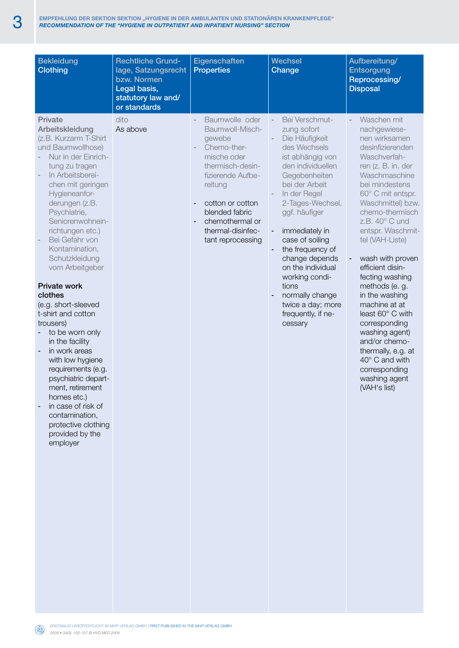| <b>Bekleidung</b><br><b>Clothing</b>                                                                                                                                                                                                                                                                                                                                                                                                                                                                                                                                                                                                                                                | <b>Rechtliche Grund-</b><br>lage, Satzungsrecht<br>bzw. Normen<br>Legal basis,<br>statutory law and/<br>or standards | Eigenschaften<br><b>Properties</b>                                                                                                                                                                                               | <b>Wechsel</b><br>Change                                                                                                                                                                                                                                                                                                                                                                                                                        | Aufbereitung/<br>Entsorgung<br>Reprocessing/<br><b>Disposal</b>                                                                                                                                                                                                                                                                                                                                                                                                                                                                                           |
|-------------------------------------------------------------------------------------------------------------------------------------------------------------------------------------------------------------------------------------------------------------------------------------------------------------------------------------------------------------------------------------------------------------------------------------------------------------------------------------------------------------------------------------------------------------------------------------------------------------------------------------------------------------------------------------|----------------------------------------------------------------------------------------------------------------------|----------------------------------------------------------------------------------------------------------------------------------------------------------------------------------------------------------------------------------|-------------------------------------------------------------------------------------------------------------------------------------------------------------------------------------------------------------------------------------------------------------------------------------------------------------------------------------------------------------------------------------------------------------------------------------------------|-----------------------------------------------------------------------------------------------------------------------------------------------------------------------------------------------------------------------------------------------------------------------------------------------------------------------------------------------------------------------------------------------------------------------------------------------------------------------------------------------------------------------------------------------------------|
| Private<br>Arbeitskleidung<br>(z.B. Kurzarm T-Shirt<br>und Baumwollhose)<br>Nur in der Einrich-<br>tung zu tragen<br>In Arbeitsberei-<br>chen mit geringen<br>Hygieneanfor-<br>derungen (z.B.<br>Psychiatrie,<br>Seniorenwohnein-<br>richtungen etc.)<br>Bei Gefahr von<br>Kontamination,<br>Schutzkleidung<br>vom Arbeitgeber<br><b>Private work</b><br>clothes<br>(e.g. short-sleeved<br>t-shirt and cotton<br>trousers)<br>to be worn only<br>in the facility<br>in work areas<br>with low hygiene<br>requirements (e.g.<br>psychiatric depart-<br>ment, retirement<br>homes etc.)<br>in case of risk of<br>contamination,<br>protective clothing<br>provided by the<br>employer | dito<br>As above                                                                                                     | Baumwolle oder<br>Baumwoll-Misch-<br>gewebe<br>Chemo-ther-<br>mische oder<br>thermisch-desin-<br>fizierende Aufbe-<br>reitung<br>cotton or cotton<br>blended fabric<br>chemothermal or<br>thermal-disinfec-<br>tant reprocessing | Bei Verschmut-<br>$\sim$<br>zung sofort<br>Die Häufigkeit<br>des Wechsels<br>ist abhängig von<br>den individuellen<br>Gegebenheiten<br>bei der Arbeit<br>In der Regel<br>2-Tages-Wechsel,<br>ggf. häufiger<br>immediately in<br>$\overline{\phantom{a}}$<br>case of soiling<br>the frequency of<br>٠<br>change depends<br>on the individual<br>working condi-<br>tions<br>normally change<br>twice a day; more<br>frequently, if ne-<br>cessary | Waschen mit<br>nachgewiese-<br>nen wirksamen<br>desinfizierenden<br>Waschverfah-<br>ren (z. B. in. der<br>Waschmaschine<br>bei mindestens<br>60° C mit entspr.<br>Waschmittel) bzw.<br>chemo-thermisch<br>$Z.B. 40^\circ C$ und<br>entspr. Waschmit-<br>tel (VAH-Liste)<br>wash with proven<br>efficient disin-<br>fecting washing<br>methods (e. g.<br>in the washing<br>machine at at<br>least 60° C with<br>corresponding<br>washing agent)<br>and/or chemo-<br>thermally, e.g. at<br>40° C and with<br>corresponding<br>washing agent<br>(VAH's list) |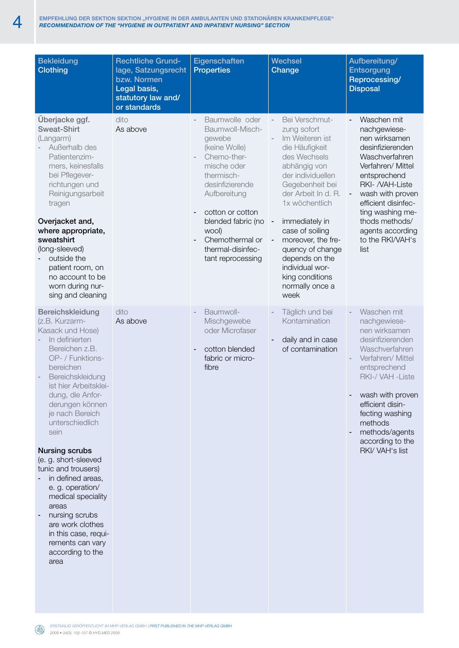| <b>Bekleidung</b><br><b>Clothing</b>                                                                                                                                                                                                                                                                                                                                                                                                                                                                                        | <b>Rechtliche Grund-</b><br>lage, Satzungsrecht<br>bzw. Normen<br>Legal basis,<br>statutory law and/<br>or standards | Eigenschaften<br><b>Properties</b>                                                                                                                                                                                                                          | <b>Wechsel</b><br>Change                                                                                                                                                                                                                                                                                                                                                                                                                  | Aufbereitung/<br><b>Entsorgung</b><br>Reprocessing/<br><b>Disposal</b>                                                                                                                                                                                                      |
|-----------------------------------------------------------------------------------------------------------------------------------------------------------------------------------------------------------------------------------------------------------------------------------------------------------------------------------------------------------------------------------------------------------------------------------------------------------------------------------------------------------------------------|----------------------------------------------------------------------------------------------------------------------|-------------------------------------------------------------------------------------------------------------------------------------------------------------------------------------------------------------------------------------------------------------|-------------------------------------------------------------------------------------------------------------------------------------------------------------------------------------------------------------------------------------------------------------------------------------------------------------------------------------------------------------------------------------------------------------------------------------------|-----------------------------------------------------------------------------------------------------------------------------------------------------------------------------------------------------------------------------------------------------------------------------|
| Überjacke ggf.<br><b>Sweat-Shirt</b><br>(Langarm)<br>Außerhalb des<br>Patientenzim-<br>mers, keinesfalls<br>bei Pflegever-<br>richtungen und<br>Reinigungsarbeit<br>tragen<br>Overjacket and,<br>where appropriate,<br>sweatshirt<br>(long-sleeved)<br>outside the<br>patient room, on<br>no account to be<br>worn during nur-<br>sing and cleaning                                                                                                                                                                         | dito<br>As above                                                                                                     | Baumwolle oder<br>Baumwoll-Misch-<br>gewebe<br>(keine Wolle)<br>Chemo-ther-<br>mische oder<br>thermisch-<br>desinfizierende<br>Aufbereitung<br>cotton or cotton<br>blended fabric (no<br>wool)<br>Chemothermal or<br>thermal-disinfec-<br>tant reprocessing | Bei Verschmut-<br>$\overline{\phantom{a}}$<br>zung sofort<br>Im Weiteren ist<br>die Häufigkeit<br>des Wechsels<br>abhängig von<br>der individuellen<br>Gegebenheit bei<br>der Arbeit In d. R.<br>1x wöchentlich<br>immediately in<br>$\overline{\phantom{a}}$<br>case of soiling<br>moreover, the fre-<br>$\overline{\phantom{a}}$<br>quency of change<br>depends on the<br>individual wor-<br>king conditions<br>normally once a<br>week | Waschen mit<br>nachgewiese-<br>nen wirksamen<br>desinfizierenden<br>Waschverfahren<br>Verfahren/ Mittel<br>entsprechend<br>RKI- /VAH-Liste<br>wash with proven<br>efficient disinfec-<br>ting washing me-<br>thods methods/<br>agents according<br>to the RKI/VAH's<br>list |
| Bereichskleidung<br>(z.B. Kurzarm-<br>Kasack und Hose)<br>In definierten<br>Bereichen z.B.<br>OP- / Funktions-<br>bereichen<br>Bereichskleidung<br>ist hier Arbeitsklei-<br>dung, die Anfor-<br>derungen können<br>je nach Bereich<br>unterschiedlich<br>sein<br><b>Nursing scrubs</b><br>(e. g. short-sleeved<br>tunic and trousers)<br>in defined areas,<br>e. g. operation/<br>medical speciality<br>areas<br>nursing scrubs<br>are work clothes<br>in this case, requi-<br>rements can vary<br>according to the<br>area | dito<br>As above                                                                                                     | Baumwoll-<br>Mischgewebe<br>oder Microfaser<br>cotton blended<br>fabric or micro-<br>fibre                                                                                                                                                                  | Täglich und bei<br>Kontamination<br>daily and in case<br>of contamination                                                                                                                                                                                                                                                                                                                                                                 | Waschen mit<br>nachgewiese-<br>nen wirksamen<br>desinfizierenden<br>Waschverfahren<br>Verfahren/ Mittel<br>entsprechend<br>RKI-/ VAH - Liste<br>wash with proven<br>efficient disin-<br>fecting washing<br>methods<br>methods/agents<br>according to the<br>RKI/ VAH's list |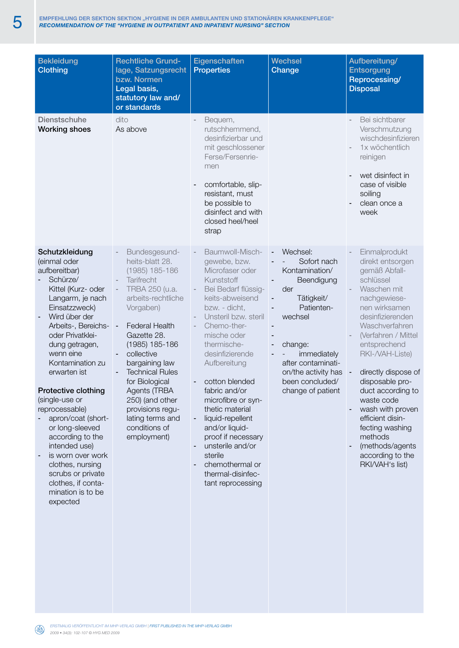| <b>Bekleidung</b><br><b>Clothing</b>                                                                                                                                                                                                                                                                                                                                                                                                                                                                                | <b>Rechtliche Grund-</b><br>lage, Satzungsrecht<br>bzw. Normen<br>Legal basis,<br>statutory law and/<br>or standards                                                                                                                                                                                                                                                     | Eigenschaften<br><b>Properties</b>                                                                                                                                                                                                                                                                                                                                                                                                                                      | <b>Wechsel</b><br>Change                                                                                                                                                                                                  | Aufbereitung/<br><b>Entsorgung</b><br>Reprocessing/<br><b>Disposal</b>                                                                                                                                                                                                                                                                                                                                                       |
|---------------------------------------------------------------------------------------------------------------------------------------------------------------------------------------------------------------------------------------------------------------------------------------------------------------------------------------------------------------------------------------------------------------------------------------------------------------------------------------------------------------------|--------------------------------------------------------------------------------------------------------------------------------------------------------------------------------------------------------------------------------------------------------------------------------------------------------------------------------------------------------------------------|-------------------------------------------------------------------------------------------------------------------------------------------------------------------------------------------------------------------------------------------------------------------------------------------------------------------------------------------------------------------------------------------------------------------------------------------------------------------------|---------------------------------------------------------------------------------------------------------------------------------------------------------------------------------------------------------------------------|------------------------------------------------------------------------------------------------------------------------------------------------------------------------------------------------------------------------------------------------------------------------------------------------------------------------------------------------------------------------------------------------------------------------------|
| <b>Dienstschuhe</b><br><b>Working shoes</b>                                                                                                                                                                                                                                                                                                                                                                                                                                                                         | dito<br>As above                                                                                                                                                                                                                                                                                                                                                         | Bequem,<br>rutschhemmend,<br>desinfizierbar und<br>mit geschlossener<br>Ferse/Fersenrie-<br>men<br>comfortable, slip-<br>resistant, must<br>be possible to<br>disinfect and with<br>closed heel/heel<br>strap                                                                                                                                                                                                                                                           |                                                                                                                                                                                                                           | Bei sichtbarer<br>Verschmutzung<br>wischdesinfizieren<br>1x wöchentlich<br>reinigen<br>wet disinfect in<br>case of visible<br>soiling<br>clean once a<br>week                                                                                                                                                                                                                                                                |
| Schutzkleidung<br>(einmal oder<br>aufbereitbar)<br>Schürze/<br>Kittel (Kurz- oder<br>Langarm, je nach<br>Einsatzzweck)<br>Wird über der<br>Arbeits-, Bereichs-<br>oder Privatklei-<br>dung getragen,<br>wenn eine<br>Kontamination zu<br>erwarten ist<br>Protective clothing<br>(single-use or<br>reprocessable)<br>apron/coat (short-<br>or long-sleeved<br>according to the<br>intended use)<br>is worn over work<br>clothes, nursing<br>scrubs or private<br>clothes, if conta-<br>mination is to be<br>expected | Bundesgesund-<br>heits-blatt 28.<br>(1985) 185-186<br>Tarifrecht<br>TRBA 250 (u.a.<br>arbeits-rechtliche<br>Vorgaben)<br><b>Federal Health</b><br>Gazette 28.<br>$(1985)$ 185-186<br>collective<br>bargaining law<br><b>Technical Rules</b><br>for Biological<br>Agents (TRBA<br>250) (and other<br>provisions regu-<br>lating terms and<br>conditions of<br>employment) | Baumwoll-Misch-<br>gewebe, bzw.<br>Microfaser oder<br>Kunststoff<br>Bei Bedarf flüssig-<br>keits-abweisend<br>bzw. - dicht,<br>Unsteril bzw. steril<br>Chemo-ther-<br>mische oder<br>thermische-<br>desinfizierende<br>Aufbereitung<br>cotton blended<br>fabric and/or<br>microfibre or syn-<br>thetic material<br>liquid-repellent<br>and/or liquid-<br>proof if necessary<br>unsterile and/or<br>sterile<br>chemothermal or<br>thermal-disinfec-<br>tant reprocessing | Wechsel:<br>Sofort nach<br>Kontamination/<br>Beendigung<br>der<br>Tätigkeit/<br>Patienten-<br>wechsel<br>change:<br>٠<br>immediately<br>after contaminati-<br>on/the activity has<br>been concluded/<br>change of patient | Einmalprodukt<br>direkt entsorgen<br>gemäß Abfall-<br>schlüssel<br>Waschen mit<br>nachgewiese-<br>nen wirksamen<br>desinfizierenden<br>Waschverfahren<br>(Verfahren / Mittel<br>entsprechend<br>RKI-/VAH-Liste)<br>directly dispose of<br>disposable pro-<br>duct according to<br>waste code<br>wash with proven<br>efficient disin-<br>fecting washing<br>methods<br>(methods/agents<br>according to the<br>RKI/VAH's list) |

*Erstmalig veröffentlicht im MHP-verlag GmbH | first published in the mhp-verlag gmbH 2009 • 34(3): 102-107 © HYG MED 2009*

 $\begin{pmatrix} \mathbb{R}^3 \\ \mathbb{R}^3 \end{pmatrix}$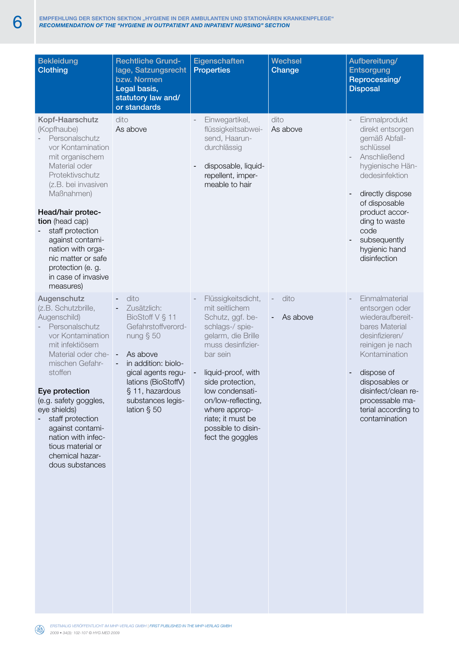| <b>Bekleidung</b><br><b>Clothing</b>                                                                                                                                                                                                                                                                                                                   | <b>Rechtliche Grund-</b><br>lage, Satzungsrecht<br>bzw. Normen<br>Legal basis,<br>statutory law and/<br>or standards                                                                                               | Eigenschaften<br><b>Properties</b>                                                                                                                                                                                                                                                                    | <b>Wechsel</b><br>Change | Aufbereitung/<br><b>Entsorgung</b><br>Reprocessing/<br><b>Disposal</b>                                                                                                                                                                                 |
|--------------------------------------------------------------------------------------------------------------------------------------------------------------------------------------------------------------------------------------------------------------------------------------------------------------------------------------------------------|--------------------------------------------------------------------------------------------------------------------------------------------------------------------------------------------------------------------|-------------------------------------------------------------------------------------------------------------------------------------------------------------------------------------------------------------------------------------------------------------------------------------------------------|--------------------------|--------------------------------------------------------------------------------------------------------------------------------------------------------------------------------------------------------------------------------------------------------|
| Kopf-Haarschutz<br>(Kopfhaube)<br>Personalschutz<br>vor Kontamination<br>mit organischem<br>Material oder<br>Protektivschutz<br>(z.B. bei invasiven<br>Maßnahmen)<br>Head/hair protec-<br>tion (head cap)<br>staff protection<br>against contami-<br>nation with orga-<br>nic matter or safe<br>protection (e. g.<br>in case of invasive<br>measures)  | dito<br>As above                                                                                                                                                                                                   | Einwegartikel,<br>flüssigkeitsabwei-<br>send, Haarun-<br>durchlässig<br>disposable, liquid-<br>repellent, imper-<br>meable to hair                                                                                                                                                                    | dito<br>As above         | Einmalprodukt<br>direkt entsorgen<br>gemäß Abfall-<br>schlüssel<br>Anschließend<br>hygienische Hän-<br>dedesinfektion<br>directly dispose<br>of disposable<br>product accor-<br>ding to waste<br>code<br>subsequently<br>hygienic hand<br>disinfection |
| Augenschutz<br>(z.B. Schutzbrille,<br>Augenschild)<br>Personalschutz<br>vor Kontamination<br>mit infektiösem<br>Material oder che- -<br>mischen Gefahr-<br>stoffen<br>Eye protection<br>(e.g. safety goggles,<br>eye shields)<br>staff protection<br>against contami-<br>nation with infec-<br>tious material or<br>chemical hazar-<br>dous substances | dito<br>Zusätzlich:<br>BioStoff V § 11<br>Gefahrstoffverord-<br>nung $§$ 50<br>As above<br>in addition: biolo-<br>gical agents regu-<br>lations (BioStoffV)<br>§ 11, hazardous<br>substances legis-<br>lation § 50 | Flüssigkeitsdicht,<br>mit seitlichem<br>Schutz, ggf. be-<br>schlags-/ spie-<br>gelarm, die Brille<br>muss desinfizier-<br>bar sein<br>liquid-proof, with<br>side protection,<br>low condensati-<br>on/low-reflecting,<br>where approp-<br>riate; it must be<br>possible to disin-<br>fect the goggles | dito<br>As above         | Einmalmaterial<br>entsorgen oder<br>wiederaufbereit-<br>bares Material<br>desinfizieren/<br>reinigen je nach<br>Kontamination<br>dispose of<br>disposables or<br>disinfect/clean re-<br>processable ma-<br>terial according to<br>contamination        |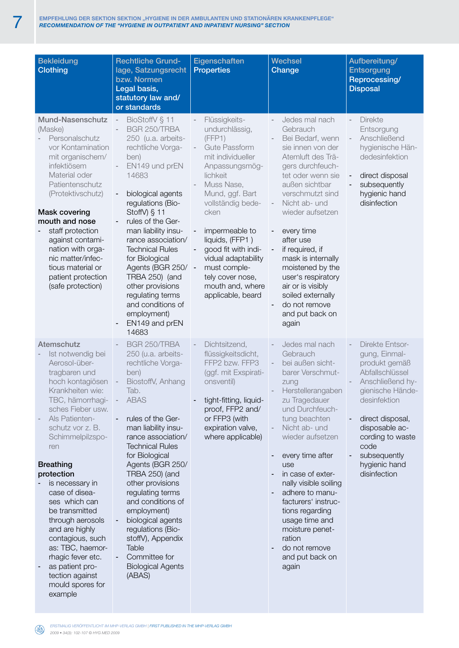| <b>Bekleidung</b><br>Clothing                                                                                                                                                                                                                                                                                                                                                                                                                                                                         | <b>Rechtliche Grund-</b><br>lage, Satzungsrecht<br>bzw. Normen<br>Legal basis,<br>statutory law and/<br>or standards                                                                                                                                                                                                                                                                                                                                                              | Eigenschaften<br><b>Properties</b>                                                                                                                                                                                                                                                                                                                 | <b>Wechsel</b><br>Change                                                                                                                                                                                                                                                                                                                                                                                                                                                  | Aufbereitung/<br>Entsorgung<br>Reprocessing/<br><b>Disposal</b>                                                                                                                                                                                        |
|-------------------------------------------------------------------------------------------------------------------------------------------------------------------------------------------------------------------------------------------------------------------------------------------------------------------------------------------------------------------------------------------------------------------------------------------------------------------------------------------------------|-----------------------------------------------------------------------------------------------------------------------------------------------------------------------------------------------------------------------------------------------------------------------------------------------------------------------------------------------------------------------------------------------------------------------------------------------------------------------------------|----------------------------------------------------------------------------------------------------------------------------------------------------------------------------------------------------------------------------------------------------------------------------------------------------------------------------------------------------|---------------------------------------------------------------------------------------------------------------------------------------------------------------------------------------------------------------------------------------------------------------------------------------------------------------------------------------------------------------------------------------------------------------------------------------------------------------------------|--------------------------------------------------------------------------------------------------------------------------------------------------------------------------------------------------------------------------------------------------------|
| Mund-Nasenschutz<br>(Maske)<br>Personalschutz<br>vor Kontamination<br>mit organischem/<br>infektiösem<br>Material oder<br>Patientenschutz<br>(Protektivschutz)<br><b>Mask covering</b><br>mouth and nose<br>staff protection<br>against contami-<br>nation with orga-<br>nic matter/infec-<br>tious material or<br>patient protection<br>(safe protection)                                                                                                                                            | BioStoffV § 11<br>$\sim$<br>BGR 250/TRBA<br>250 (u.a. arbeits-<br>rechtliche Vorga-<br>ben)<br>EN149 und prEN<br>14683<br>biological agents<br>regulations (Bio-<br>StoffV) § 11<br>rules of the Ger-<br>man liability insu-<br>rance association/<br><b>Technical Rules</b><br>for Biological<br>Agents (BGR 250/ -<br>TRBA 250) (and<br>other provisions<br>regulating terms<br>and conditions of<br>employment)<br>EN149 and prEN<br>14683                                     | Flüssigkeits-<br>undurchlässig,<br>(FFP1)<br><b>Gute Passform</b><br>mit individueller<br>Anpassungsmög-<br>lichkeit<br>Muss Nase,<br>Mund, ggf. Bart<br>vollständig bede-<br>cken<br>impermeable to<br>liquids, (FFP1)<br>good fit with indi-<br>vidual adaptability<br>must comple-<br>tely cover nose,<br>mouth and, where<br>applicable, beard | Jedes mal nach<br>Gebrauch<br>Bei Bedarf, wenn<br>sie innen von der<br>Atemluft des Trä-<br>gers durchfeuch-<br>tet oder wenn sie<br>außen sichtbar<br>verschmutzt sind<br>Nicht ab- und<br>$\overline{\phantom{a}}$<br>wieder aufsetzen<br>every time<br>after use<br>if required, if<br>$\overline{\phantom{a}}$<br>mask is internally<br>moistened by the<br>user's respiratory<br>air or is visibly<br>soiled externally<br>do not remove<br>and put back on<br>again | <b>Direkte</b><br>$\bar{a} = \bar{b}$<br>Entsorgung<br>Anschließend<br>hygienische Hän-<br>dedesinfektion<br>direct disposal<br>subsequently<br>hygienic hand<br>disinfection                                                                          |
| Atemschutz<br>Ist notwendig bei<br>Aerosol-über-<br>tragbaren und<br>hoch kontagiösen<br>Krankheiten wie:<br>TBC, hämorrhagi-<br>sches Fieber usw.<br>Als Patienten-<br>schutz vor z. B.<br>Schimmelpilzspo-<br>ren<br><b>Breathing</b><br>protection<br>is necessary in<br>case of disea-<br>ses which can<br>be transmitted<br>through aerosols<br>and are highly<br>contagious, such<br>as: TBC, haemor-<br>rhagic fever etc.<br>as patient pro-<br>tection against<br>mould spores for<br>example | BGR 250/TRBA<br>250 (u.a. arbeits-<br>rechtliche Vorga-<br>ben)<br>BiostoffV, Anhang<br>Tab.<br><b>ABAS</b><br>rules of the Ger-<br>man liability insu-<br>rance association/<br><b>Technical Rules</b><br>for Biological<br>Agents (BGR 250/<br><b>TRBA 250) (and</b><br>other provisions<br>regulating terms<br>and conditions of<br>employment)<br>biological agents<br>regulations (Bio-<br>stoffV), Appendix<br>Table<br>Committee for<br><b>Biological Agents</b><br>(ABAS) | Dichtsitzend,<br>flüssigkeitsdicht,<br>FFP2 bzw. FFP3<br>(ggf. mit Exspirati-<br>onsventil)<br>tight-fitting, liquid-<br>proof, FFP2 and/<br>or FFP3 (with<br>expiration valve,<br>where applicable)                                                                                                                                               | Jedes mal nach<br>Gebrauch<br>bei außen sicht-<br>$\overline{\phantom{a}}$<br>barer Verschmut-<br>zung<br>Herstellerangaben<br>zu Tragedauer<br>und Durchfeuch-<br>tung beachten<br>Nicht ab- und<br>wieder aufsetzen<br>every time after<br>use<br>in case of exter-<br>nally visible soiling<br>adhere to manu-<br>facturers' instruc-<br>tions regarding<br>usage time and<br>moisture penet-<br>ration<br>do not remove<br>and put back on<br>again                   | <b>Direkte Entsor-</b><br>gung, Einmal-<br>produkt gemäß<br>Abfallschlüssel<br>Anschließend hy-<br>gienische Hände-<br>desinfektion<br>direct disposal,<br>disposable ac-<br>cording to waste<br>code<br>subsequently<br>hygienic hand<br>disinfection |

*Erstmalig veröffentlicht im MHP-verlag GmbH | first published in the mhp-verlag gmbH*  $(4)$ *2009 • 34(3): 102-107 © HYG MED 2009*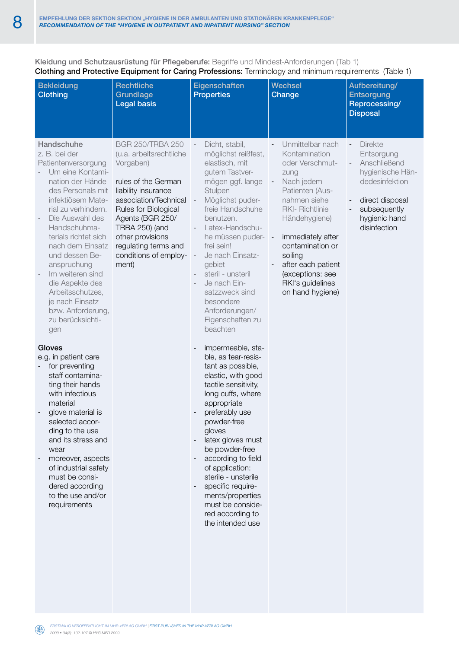Kleidung und Schutzausrüstung für Pflegeberufe: Begriffe und Mindest-Anforderungen (Tab 1) Clothing and Protective Equipment for Caring Professions: Terminology and minimum requirements (Table 1)

| <b>Bekleidung</b><br><b>Clothing</b>                                                                                                                                                                                                                                                                                                                                                                                                                                              | Rechtliche<br>Grundlage<br><b>Legal basis</b>                                                                                                                                                                                                                                             | Eigenschaften<br><b>Properties</b>                                                                                                                                                                                                                                                                                                                                                                                                                            | <b>Wechsel</b><br>Change                                                                                                                                                                                                                                                                | Aufbereitung/<br><b>Entsorgung</b><br>Reprocessing/<br><b>Disposal</b>                                                                                                   |
|-----------------------------------------------------------------------------------------------------------------------------------------------------------------------------------------------------------------------------------------------------------------------------------------------------------------------------------------------------------------------------------------------------------------------------------------------------------------------------------|-------------------------------------------------------------------------------------------------------------------------------------------------------------------------------------------------------------------------------------------------------------------------------------------|---------------------------------------------------------------------------------------------------------------------------------------------------------------------------------------------------------------------------------------------------------------------------------------------------------------------------------------------------------------------------------------------------------------------------------------------------------------|-----------------------------------------------------------------------------------------------------------------------------------------------------------------------------------------------------------------------------------------------------------------------------------------|--------------------------------------------------------------------------------------------------------------------------------------------------------------------------|
| Handschuhe<br>z. B. bei der<br>Patientenversorgung<br>Um eine Kontami-<br>nation der Hände<br>des Personals mit<br>infektiösem Mate-<br>rial zu verhindern.<br>Die Auswahl des<br>Handschuhma-<br>terials richtet sich<br>nach dem Einsatz<br>und dessen Be-<br>anspruchung<br>Im weiteren sind<br>die Aspekte des<br>Arbeitsschutzes,<br>je nach Einsatz<br>bzw. Anforderung,<br>zu berücksichti-<br>gen<br>Gloves<br>e.g. in patient care<br>for preventing<br>staff contamina- | <b>BGR 250/TRBA 250</b><br>(u.a. arbeitsrechtliche<br>Vorgaben)<br>rules of the German<br>liability insurance<br>association/Technical<br>Rules for Biological<br>Agents (BGR 250/<br><b>TRBA 250)</b> (and<br>other provisions<br>regulating terms and<br>conditions of employ-<br>ment) | Dicht, stabil,<br>möglichst reißfest,<br>elastisch, mit<br>gutem Tastver-<br>mögen ggf. lange<br>Stulpen<br>Möglichst puder-<br>freie Handschuhe<br>benutzen.<br>Latex-Handschu-<br>he müssen puder-<br>frei sein!<br>Je nach Einsatz-<br>gebiet<br>steril - unsteril<br>Je nach Ein-<br>satzzweck sind<br>besondere<br>Anforderungen/<br>Eigenschaften zu<br>beachten<br>impermeable, sta-<br>ble, as tear-resis-<br>tant as possible,<br>elastic, with good | Unmittelbar nach<br>Kontamination<br>oder Verschmut-<br>zung<br>Nach jedem<br>Patienten (Aus-<br>nahmen siehe<br>RKI- Richtlinie<br>Händehygiene)<br>immediately after<br>contamination or<br>soiling<br>after each patient<br>(exceptions: see<br>RKI's guidelines<br>on hand hygiene) | <b>Direkte</b><br>$\blacksquare$<br>Entsorgung<br>Anschließend<br>hygienische Hän-<br>dedesinfektion<br>direct disposal<br>subsequently<br>hygienic hand<br>disinfection |
| ting their hands<br>with infectious<br>material<br>glove material is<br>selected accor-<br>ding to the use<br>and its stress and<br>wear<br>moreover, aspects<br>of industrial safety<br>must be consi-<br>dered according<br>to the use and/or<br>requirements                                                                                                                                                                                                                   |                                                                                                                                                                                                                                                                                           | tactile sensitivity,<br>long cuffs, where<br>appropriate<br>preferably use<br>powder-free<br>gloves<br>latex gloves must<br>be powder-free<br>according to field<br>of application:<br>sterile - unsterile<br>specific require-<br>ments/properties<br>must be conside-<br>red according to<br>the intended use                                                                                                                                               |                                                                                                                                                                                                                                                                                         |                                                                                                                                                                          |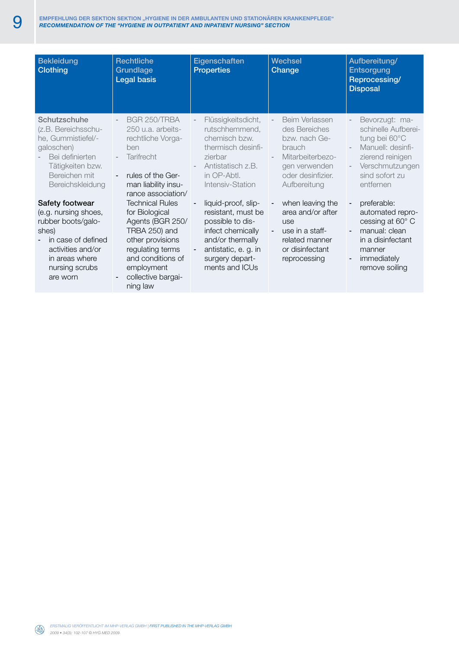| <b>Bekleidung</b><br><b>Clothing</b>                                                                                                                              | <b>Rechtliche</b><br>Grundlage<br><b>Legal basis</b>                                                                                                                                                 | Eigenschaften<br><b>Properties</b>                                                                                                                                            | <b>Wechsel</b><br>Change                                                                                                                       | Aufbereitung/<br><b>Entsorgung</b><br>Reprocessing/<br><b>Disposal</b>                                                                                                                  |
|-------------------------------------------------------------------------------------------------------------------------------------------------------------------|------------------------------------------------------------------------------------------------------------------------------------------------------------------------------------------------------|-------------------------------------------------------------------------------------------------------------------------------------------------------------------------------|------------------------------------------------------------------------------------------------------------------------------------------------|-----------------------------------------------------------------------------------------------------------------------------------------------------------------------------------------|
| Schutzschuhe<br>(z.B. Bereichsschu-<br>he, Gummistiefel/-<br>galoschen)<br>Bei definierten<br>Tätigkeiten bzw.<br>Bereichen mit<br>Bereichskleidung               | BGR 250/TRBA<br>$\sim$<br>250 u.a. arbeits-<br>rechtliche Vorga-<br>ben<br><b>Tarifrecht</b><br>$\overline{\phantom{a}}$<br>rules of the Ger-<br>$\sim$<br>man liability insu-<br>rance association/ | Flüssigkeitsdicht,<br>rutschhemmend,<br>chemisch bzw.<br>thermisch desinfi-<br>zierbar<br>Antistatisch z.B.<br>in OP-Abtl.<br>Intensiv-Station                                | Beim Verlassen<br>$\sim$<br>des Bereiches<br>bzw. nach Ge-<br>brauch<br>Mitarbeiterbezo-<br>gen verwenden<br>oder desinfizier.<br>Aufbereitung | Bevorzugt: ma-<br>$\overline{\phantom{a}}$<br>schinelle Aufberei-<br>tung bei 60°C<br>Manuell: desinfi-<br>zierend reinigen<br>Verschmutzungen<br>$\sim$<br>sind sofort zu<br>entfernen |
| Safety footwear<br>(e.g. nursing shoes,<br>rubber boots/galo-<br>shes)<br>in case of defined<br>activities and/or<br>in areas where<br>nursing scrubs<br>are worn | <b>Technical Rules</b><br>for Biological<br>Agents (BGR 250/<br>TRBA 250) and<br>other provisions<br>regulating terms<br>and conditions of<br>employment<br>collective bargai-<br>ning law           | liquid-proof, slip-<br>resistant, must be<br>possible to dis-<br>infect chemically<br>and/or thermally<br>antistatic, e. g. in<br>$\sim$<br>surgery depart-<br>ments and ICUs | when leaving the<br>area and/or after<br>use<br>use in a staff-<br>$\sim$<br>related manner<br>or disinfectant<br>reprocessing                 | preferable:<br>$\blacksquare$<br>automated repro-<br>cessing at 60° C<br>manual: clean<br>$\overline{\phantom{a}}$<br>in a disinfectant<br>manner<br>immediately<br>remove soiling      |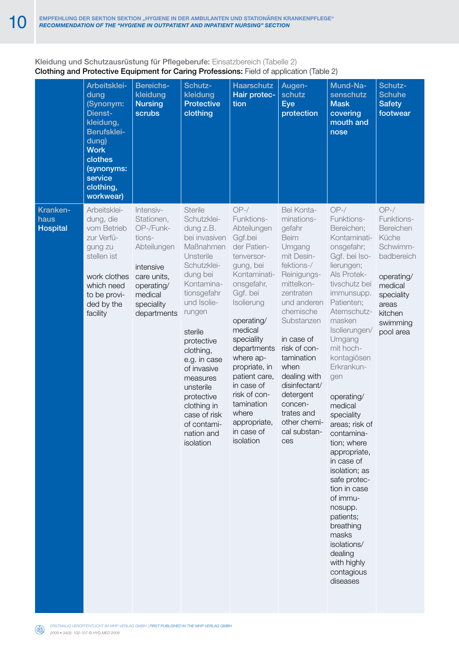### Kleidung und Schutzausrüstung für Pflegeberufe: Einsatzbereich (Tabelle 2) Clothing and Protective Equipment for Caring Professions: Field of application (Table 2)

|                                     | Arbeitsklei-<br>dung<br>(Synonym:<br>Dienst-<br>kleidung,<br>Berufsklei-<br>dung)<br><b>Work</b><br>clothes<br>(synonyms:<br>service<br>clothing,<br>workwear) | <b>Bereichs-</b><br>kleidung<br><b>Nursing</b><br>scrubs                                                                                        | Schutz-<br>kleidung<br><b>Protective</b><br>clothing                                                                                                                                                                                                                                                                                                 | <b>Haarschutz</b><br>Hair protec-<br>tion                                                                                                                                                                                                                                                                                                              | Augen-<br>schutz<br><b>Eye</b><br>protection                                                                                                                                                                                                                                                                                           | Mund-Na-<br>senschutz<br><b>Mask</b><br>covering<br>mouth and<br>nose                                                                                                                                                                                                                                                                                                                                                                                                                                                                                               | Schutz-<br><b>Schuhe</b><br><b>Safety</b><br>footwear                                                                                                     |
|-------------------------------------|----------------------------------------------------------------------------------------------------------------------------------------------------------------|-------------------------------------------------------------------------------------------------------------------------------------------------|------------------------------------------------------------------------------------------------------------------------------------------------------------------------------------------------------------------------------------------------------------------------------------------------------------------------------------------------------|--------------------------------------------------------------------------------------------------------------------------------------------------------------------------------------------------------------------------------------------------------------------------------------------------------------------------------------------------------|----------------------------------------------------------------------------------------------------------------------------------------------------------------------------------------------------------------------------------------------------------------------------------------------------------------------------------------|---------------------------------------------------------------------------------------------------------------------------------------------------------------------------------------------------------------------------------------------------------------------------------------------------------------------------------------------------------------------------------------------------------------------------------------------------------------------------------------------------------------------------------------------------------------------|-----------------------------------------------------------------------------------------------------------------------------------------------------------|
| Kranken-<br>haus<br><b>Hospital</b> | Arbeitsklei-<br>dung, die<br>vom Betrieb<br>zur Verfü-<br>gung zu<br>stellen ist<br>work clothes<br>which need<br>to be provi-<br>ded by the<br>facility       | Intensiv-<br>Stationen,<br>OP-/Funk-<br>tions-<br>Abteilungen<br>intensive<br>care units,<br>operating/<br>medical<br>speciality<br>departments | Sterile<br>Schutzklei-<br>dung z.B.<br>bei invasiven<br>Maßnahmen<br>Unsterile<br>Schutzklei-<br>dung bei<br>Kontamina-<br>tionsgefahr<br>und Isolie-<br>rungen<br>sterile<br>protective<br>clothing,<br>e.g. in case<br>of invasive<br>measures<br>unsterile<br>protective<br>clothing in<br>case of risk<br>of contami-<br>nation and<br>isolation | $OP-/-$<br>Funktions-<br>Abteilungen<br>Ggf.bei<br>der Patien-<br>tenversor-<br>gung, bei<br>Kontaminati-<br>onsgefahr,<br>Ggf. bei<br>Isolierung<br>operating/<br>medical<br>speciality<br>departments<br>where ap-<br>propriate, in<br>patient care,<br>in case of<br>risk of con-<br>tamination<br>where<br>appropriate,<br>in case of<br>isolation | Bei Konta-<br>minations-<br>gefahr<br>Beim<br>Umgang<br>mit Desin-<br>fektions-/<br>Reinigungs-<br>mittelkon-<br>zentraten<br>und anderen<br>chemische<br>Substanzen<br>in case of<br>risk of con-<br>tamination<br>when<br>dealing with<br>disinfectant/<br>detergent<br>concen-<br>trates and<br>other chemi-<br>cal substan-<br>ces | $OP-/-$<br>Funktions-<br>Bereichen;<br>Kontaminati-<br>onsgefahr;<br>Ggf. bei Iso-<br>lierungen;<br>Als Protek-<br>tivschutz bei<br>immunsupp.<br>Patienten;<br>Atemschutz-<br>masken<br>Isolierungen/<br>Umgang<br>mit hoch-<br>kontagiösen<br>Erkrankun-<br>gen<br>operating/<br>medical<br>speciality<br>areas; risk of<br>contamina-<br>tion; where<br>appropriate,<br>in case of<br>isolation; as<br>safe protec-<br>tion in case<br>of immu-<br>nosupp.<br>patients;<br>breathing<br>masks<br>isolations/<br>dealing<br>with highly<br>contagious<br>diseases | $OP-/-$<br>Funktions-<br>Bereichen<br>Küche<br>Schwimm-<br>badbereich<br>operating/<br>medical<br>speciality<br>areas<br>kitchen<br>swimming<br>pool area |

*Erstmalig veröffentlicht im MHP-verlag GmbH | first published in the mhp-verlag gmbH 2009 • 34(3): 102-107 © HYG MED 2009*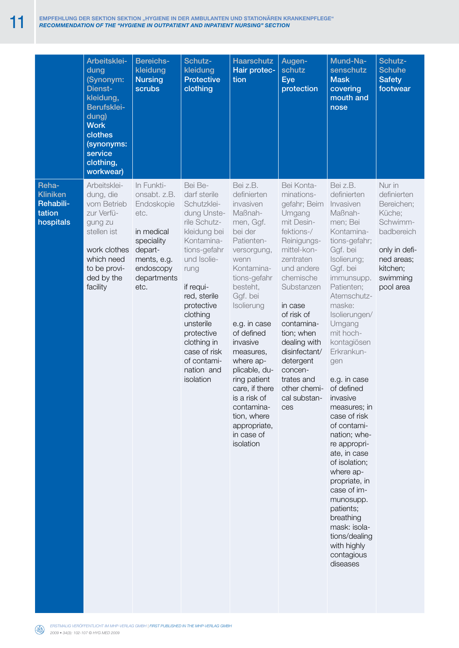|                                                              | Arbeitsklei-<br>dung<br>(Synonym:<br>Dienst-<br>kleidung,<br>Berufsklei-<br>dung)<br><b>Work</b><br>clothes<br>(synonyms:<br>service<br>clothing,<br>workwear) | <b>Bereichs-</b><br>kleidung<br><b>Nursing</b><br>scrubs                                                                                   | Schutz-<br>kleidung<br><b>Protective</b><br>clothing                                                                                                                                                                                                                                                  | <b>Haarschutz</b><br>Hair protec-<br>tion                                                                                                                                                                                                                                                                                                                                                       | Augen-<br>schutz<br><b>Eye</b><br>protection                                                                                                                                                                                                                                                                                          | Mund-Na-<br>senschutz<br><b>Mask</b><br>covering<br>mouth and<br>nose                                                                                                                                                                                                                                                                                                                                                                                                                                                                                                                      | <b>Schutz-</b><br><b>Schuhe</b><br><b>Safety</b><br>footwear                                                                                |
|--------------------------------------------------------------|----------------------------------------------------------------------------------------------------------------------------------------------------------------|--------------------------------------------------------------------------------------------------------------------------------------------|-------------------------------------------------------------------------------------------------------------------------------------------------------------------------------------------------------------------------------------------------------------------------------------------------------|-------------------------------------------------------------------------------------------------------------------------------------------------------------------------------------------------------------------------------------------------------------------------------------------------------------------------------------------------------------------------------------------------|---------------------------------------------------------------------------------------------------------------------------------------------------------------------------------------------------------------------------------------------------------------------------------------------------------------------------------------|--------------------------------------------------------------------------------------------------------------------------------------------------------------------------------------------------------------------------------------------------------------------------------------------------------------------------------------------------------------------------------------------------------------------------------------------------------------------------------------------------------------------------------------------------------------------------------------------|---------------------------------------------------------------------------------------------------------------------------------------------|
| Reha-<br><b>Kliniken</b><br>Rehabili-<br>tation<br>hospitals | Arbeitsklei-<br>dung, die<br>vom Betrieb<br>zur Verfü-<br>gung zu<br>stellen ist<br>work clothes<br>which need<br>to be provi-<br>ded by the<br>facility       | In Funkti-<br>onsabt. z.B.<br>Endoskopie<br>etc.<br>in medical<br>speciality<br>depart-<br>ments, e.g.<br>endoscopy<br>departments<br>etc. | Bei Be-<br>darf sterile<br>Schutzklei-<br>dung Unste-<br>rile Schutz-<br>kleidung bei<br>Kontamina-<br>tions-gefahr<br>und Isolie-<br>rung<br>if requi-<br>red, sterile<br>protective<br>clothing<br>unsterile<br>protective<br>clothing in<br>case of risk<br>of contami-<br>nation and<br>isolation | Bei z.B.<br>definierten<br>invasiven<br>Maßnah-<br>men, Ggf.<br>bei der<br>Patienten-<br>versorgung,<br>wenn<br>Kontamina-<br>tions-gefahr<br>besteht,<br>Ggf. bei<br>Isolierung<br>e.g. in case<br>of defined<br>invasive<br>measures,<br>where ap-<br>plicable, du-<br>ring patient<br>care, if there<br>is a risk of<br>contamina-<br>tion, where<br>appropriate,<br>in case of<br>isolation | Bei Konta-<br>minations-<br>gefahr; Beim<br>Umgang<br>mit Desin-<br>fektions-/<br>Reinigungs-<br>mittel-kon-<br>zentraten<br>und andere<br>chemische<br>Substanzen<br>in case<br>of risk of<br>contamina-<br>tion; when<br>dealing with<br>disinfectant/<br>detergent<br>concen-<br>trates and<br>other chemi-<br>cal substan-<br>ces | Bei z.B.<br>definierten<br>Invasiven<br>Maßnah-<br>men; Bei<br>Kontamina-<br>tions-gefahr;<br>Ggf. bei<br>Isolierung;<br>Ggf. bei<br>immunsupp.<br>Patienten;<br>Atemschutz-<br>maske:<br>Isolierungen/<br>Umgang<br>mit hoch-<br>kontagiösen<br>Erkrankun-<br>gen<br>e.g. in case<br>of defined<br>invasive<br>measures; in<br>case of risk<br>of contami-<br>nation; whe-<br>re appropri-<br>ate, in case<br>of isolation;<br>where ap-<br>propriate, in<br>case of im-<br>munosupp.<br>patients;<br>breathing<br>mask: isola-<br>tions/dealing<br>with highly<br>contagious<br>diseases | Nur in<br>definierten<br>Bereichen;<br>Küche;<br>Schwimm-<br>badbereich<br>only in defi-<br>ned areas;<br>kitchen;<br>swimming<br>pool area |

*Erstmalig veröffentlicht im MHP-verlag GmbH | first published in the mhp-verlag gmbH 2009 • 34(3): 102-107 © HYG MED 2009*

**Contract Contract Contract**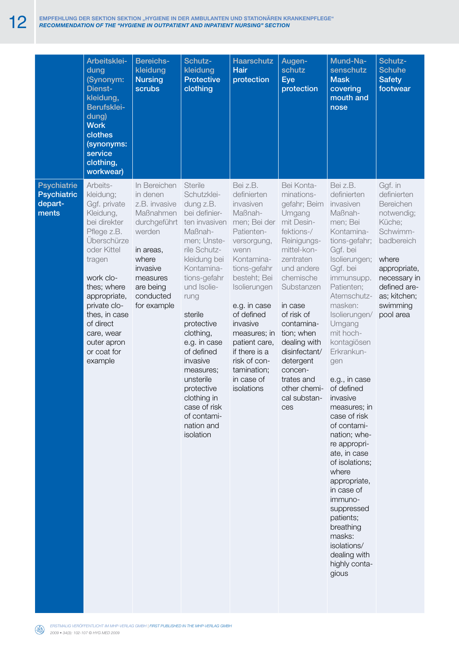|                                                              | Arbeitsklei-<br>dung<br>(Synonym:<br>Dienst-<br>kleidung,<br>Berufsklei-<br>dung)<br><b>Work</b><br>clothes<br>(synonyms:<br>service<br>clothing,<br>workwear)                                                                                                             | <b>Bereichs-</b><br>kleidung<br><b>Nursing</b><br>scrubs                                                                                                                | Schutz-<br>kleidung<br><b>Protective</b><br>clothing                                                                                                                                                                                                                                                                                                                                  | <b>Haarschutz</b><br><b>Hair</b><br>protection                                                                                                                                                                                                                                                                            | Augen-<br>schutz<br><b>Eye</b><br>protection                                                                                                                                                                                                                                                                                          | Mund-Na-<br>senschutz<br><b>Mask</b><br>covering<br>mouth and<br>nose                                                                                                                                                                                                                                                                                                                                                                                                                                                                                                                          | Schutz-<br><b>Schuhe</b><br><b>Safety</b><br>footwear                                                                                                                                   |
|--------------------------------------------------------------|----------------------------------------------------------------------------------------------------------------------------------------------------------------------------------------------------------------------------------------------------------------------------|-------------------------------------------------------------------------------------------------------------------------------------------------------------------------|---------------------------------------------------------------------------------------------------------------------------------------------------------------------------------------------------------------------------------------------------------------------------------------------------------------------------------------------------------------------------------------|---------------------------------------------------------------------------------------------------------------------------------------------------------------------------------------------------------------------------------------------------------------------------------------------------------------------------|---------------------------------------------------------------------------------------------------------------------------------------------------------------------------------------------------------------------------------------------------------------------------------------------------------------------------------------|------------------------------------------------------------------------------------------------------------------------------------------------------------------------------------------------------------------------------------------------------------------------------------------------------------------------------------------------------------------------------------------------------------------------------------------------------------------------------------------------------------------------------------------------------------------------------------------------|-----------------------------------------------------------------------------------------------------------------------------------------------------------------------------------------|
| <b>Psychiatrie</b><br><b>Psychiatric</b><br>depart-<br>ments | Arbeits-<br>kleidung;<br>Ggf. private<br>Kleidung,<br>bei direkter<br>Pflege z.B.<br>Überschürze<br>oder Kittel<br>tragen<br>work clo-<br>thes; where<br>appropriate,<br>private clo-<br>thes, in case<br>of direct<br>care, wear<br>outer apron<br>or coat for<br>example | In Bereichen<br>in denen<br>z.B. invasive<br>Maßnahmen<br>durchgeführt<br>werden<br>in areas,<br>where<br>invasive<br>measures<br>are being<br>conducted<br>for example | Sterile<br>Schutzklei-<br>dung z.B.<br>bei definier-<br>ten invasiven<br>Maßnah-<br>men; Unste-<br>rile Schutz-<br>kleidung bei<br>Kontamina-<br>tions-gefahr<br>und Isolie-<br>rung<br>sterile<br>protective<br>clothing,<br>e.g. in case<br>of defined<br>invasive<br>measures;<br>unsterile<br>protective<br>clothing in<br>case of risk<br>of contami-<br>nation and<br>isolation | Bei z.B.<br>definierten<br>invasiven<br>Maßnah-<br>men; Bei der<br>Patienten-<br>versorgung,<br>wenn<br>Kontamina-<br>tions-gefahr<br>besteht; Bei<br>Isolierungen<br>e.g. in case<br>of defined<br>invasive<br>measures; in<br>patient care,<br>if there is a<br>risk of con-<br>tamination;<br>in case of<br>isolations | Bei Konta-<br>minations-<br>gefahr; Beim<br>Umgang<br>mit Desin-<br>fektions-/<br>Reinigungs-<br>mittel-kon-<br>zentraten<br>und andere<br>chemische<br>Substanzen<br>in case<br>of risk of<br>contamina-<br>tion; when<br>dealing with<br>disinfectant/<br>detergent<br>concen-<br>trates and<br>other chemi-<br>cal substan-<br>ces | Bei z.B.<br>definierten<br>invasiven<br>Maßnah-<br>men; Bei<br>Kontamina-<br>tions-gefahr;<br>Ggf. bei<br>Isolierungen;<br>Ggf. bei<br>immunsupp.<br>Patienten;<br>Atemschutz-<br>masken:<br>Isolierungen/<br>Umgang<br>mit hoch-<br>kontagiösen<br>Erkrankun-<br>gen<br>e.g., in case<br>of defined<br>invasive<br>measures; in<br>case of risk<br>of contami-<br>nation; whe-<br>re appropri-<br>ate, in case<br>of isolations;<br>where<br>appropriate,<br>in case of<br>immuno-<br>suppressed<br>patients;<br>breathing<br>masks:<br>isolations/<br>dealing with<br>highly conta-<br>gious | Ggf. in<br>definierten<br>Bereichen<br>notwendig;<br>Küche;<br>Schwimm-<br>badbereich<br>where<br>appropriate,<br>necessary in<br>defined are-<br>as; kitchen;<br>swimming<br>pool area |

×.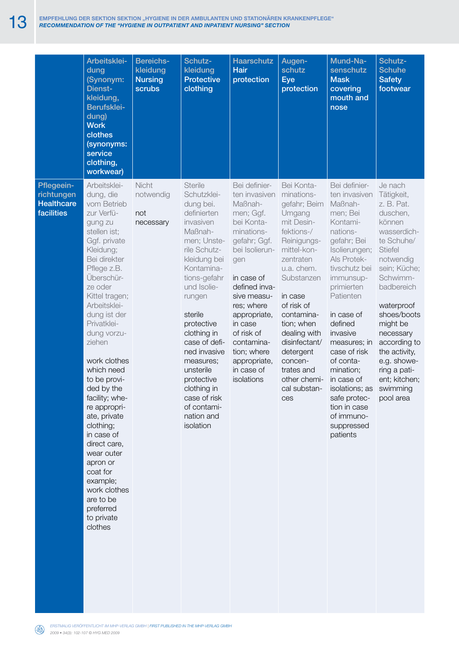|                                                             | Arbeitsklei-<br>dung<br>(Synonym:<br>Dienst-<br>kleidung,<br>Berufsklei-<br>dung)<br><b>Work</b><br>clothes<br>(synonyms:<br>service<br>clothing,<br>workwear)                                                                                                                                                                                                                                                                                                                                                                                 | <b>Bereichs-</b><br>kleidung<br><b>Nursing</b><br>scrubs | Schutz-<br>kleidung<br><b>Protective</b><br>clothing                                                                                                                                                                                                                                                                                                                              | <b>Haarschutz</b><br><b>Hair</b><br>protection                                                                                                                                                                                                                                                            | Augen-<br>schutz<br><b>Eye</b><br>protection                                                                                                                                                                                                                                                                             | Mund-Na-<br>senschutz<br><b>Mask</b><br>covering<br>mouth and<br>nose                                                                                                                                                                                                                                                                                                                        | Schutz-<br><b>Schuhe</b><br><b>Safety</b><br>footwear                                                                                                                                                                                                                                                                           |
|-------------------------------------------------------------|------------------------------------------------------------------------------------------------------------------------------------------------------------------------------------------------------------------------------------------------------------------------------------------------------------------------------------------------------------------------------------------------------------------------------------------------------------------------------------------------------------------------------------------------|----------------------------------------------------------|-----------------------------------------------------------------------------------------------------------------------------------------------------------------------------------------------------------------------------------------------------------------------------------------------------------------------------------------------------------------------------------|-----------------------------------------------------------------------------------------------------------------------------------------------------------------------------------------------------------------------------------------------------------------------------------------------------------|--------------------------------------------------------------------------------------------------------------------------------------------------------------------------------------------------------------------------------------------------------------------------------------------------------------------------|----------------------------------------------------------------------------------------------------------------------------------------------------------------------------------------------------------------------------------------------------------------------------------------------------------------------------------------------------------------------------------------------|---------------------------------------------------------------------------------------------------------------------------------------------------------------------------------------------------------------------------------------------------------------------------------------------------------------------------------|
| Pflegeein-<br>richtungen<br><b>Healthcare</b><br>facilities | Arbeitsklei-<br>dung, die<br>vom Betrieb<br>zur Verfü-<br>gung zu<br>stellen ist;<br>Ggf. private<br>Kleidung;<br>Bei direkter<br>Pflege z.B.<br>Uberschür-<br>ze oder<br>Kittel tragen;<br>Arbeitsklei-<br>dung ist der<br>Privatklei-<br>dung vorzu-<br>ziehen<br>work clothes<br>which need<br>to be provi-<br>ded by the<br>facility; whe-<br>re appropri-<br>ate, private<br>clothing;<br>in case of<br>direct care,<br>wear outer<br>apron or<br>coat for<br>example;<br>work clothes<br>are to be<br>preferred<br>to private<br>clothes | <b>Nicht</b><br>notwendig<br>not<br>necessary            | <b>Sterile</b><br>Schutzklei-<br>dung bei.<br>definierten<br>invasiven<br>Maßnah-<br>men; Unste-<br>rile Schutz-<br>kleidung bei<br>Kontamina-<br>tions-gefahr<br>und Isolie-<br>rungen<br>sterile<br>protective<br>clothing in<br>case of defi-<br>ned invasive<br>measures;<br>unsterile<br>protective<br>clothing in<br>case of risk<br>of contami-<br>nation and<br>isolation | Bei definier-<br>ten invasiven<br>Maßnah-<br>men; Ggf.<br>bei Konta-<br>minations-<br>gefahr; Ggf.<br>bei Isolierun-<br>gen<br>in case of<br>defined inva-<br>sive measu-<br>res; where<br>appropriate,<br>in case<br>of risk of<br>contamina-<br>tion; where<br>appropriate,<br>in case of<br>isolations | Bei Konta-<br>minations-<br>gefahr; Beim<br>Umgang<br>mit Desin-<br>fektions-/<br>Reinigungs-<br>mittel-kon-<br>zentraten<br>u.a. chem.<br>Substanzen<br>in case<br>of risk of<br>contamina-<br>tion; when<br>dealing with<br>disinfectant/<br>detergent<br>concen-<br>trates and<br>other chemi-<br>cal substan-<br>ces | Bei definier-<br>ten invasiven<br>Maßnah-<br>men; Bei<br>Kontami-<br>nations-<br>gefahr; Bei<br>Isolierungen;<br>Als Protek-<br>tivschutz bei<br>immunsup-<br>primierten<br>Patienten<br>in case of<br>defined<br>invasive<br>measures; in<br>case of risk<br>of conta-<br>mination;<br>in case of<br>isolations; as<br>safe protec-<br>tion in case<br>of immuno-<br>suppressed<br>patients | Je nach<br>Tätigkeit,<br>z. B. Pat.<br>duschen,<br>können<br>wasserdich-<br>te Schuhe/<br><b>Stiefel</b><br>notwendig<br>sein; Küche;<br>Schwimm-<br>badbereich<br>waterproof<br>shoes/boots<br>might be<br>necessary<br>according to<br>the activity,<br>e.g. showe-<br>ring a pati-<br>ent; kitchen;<br>swimming<br>pool area |

*Erstmalig veröffentlicht im MHP-verlag GmbH | first published in the mhp-verlag gmbH 2009 • 34(3): 102-107 © HYG MED 2009*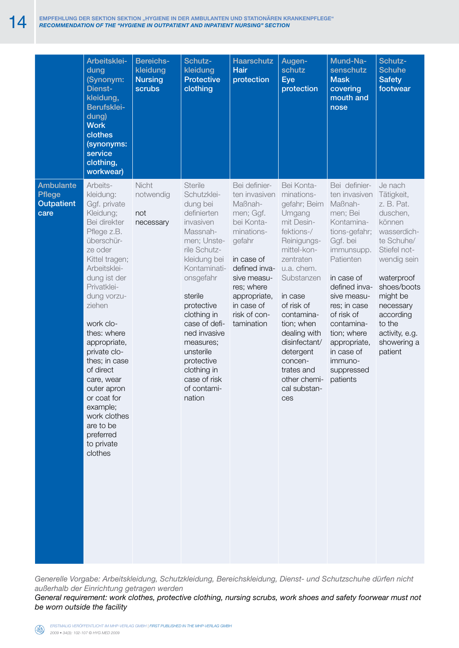|                                                                | Arbeitsklei-<br>dung<br>(Synonym:<br>Dienst-<br>kleidung,<br>Berufsklei-<br>dung)<br><b>Work</b><br>clothes<br>(synonyms:<br>service<br>clothing,<br>workwear)                                                                                                                                                                                                                                                            | <b>Bereichs-</b><br>kleidung<br><b>Nursing</b><br><b>scrubs</b> | Schutz-<br>kleidung<br><b>Protective</b><br>clothing                                                                                                                                                                                                                                                                                   | <b>Haarschutz</b><br><b>Hair</b><br>protection                                                                                                                                                                       | Augen-<br>schutz<br><b>Eye</b><br>protection                                                                                                                                                                                                                                                                             | Mund-Na-<br>senschutz<br><b>Mask</b><br>covering<br>mouth and<br>nose                                                                                                                                                                                                                                   | Schutz-<br><b>Schuhe</b><br><b>Safety</b><br>footwear                                                                                                                                                                                          |
|----------------------------------------------------------------|---------------------------------------------------------------------------------------------------------------------------------------------------------------------------------------------------------------------------------------------------------------------------------------------------------------------------------------------------------------------------------------------------------------------------|-----------------------------------------------------------------|----------------------------------------------------------------------------------------------------------------------------------------------------------------------------------------------------------------------------------------------------------------------------------------------------------------------------------------|----------------------------------------------------------------------------------------------------------------------------------------------------------------------------------------------------------------------|--------------------------------------------------------------------------------------------------------------------------------------------------------------------------------------------------------------------------------------------------------------------------------------------------------------------------|---------------------------------------------------------------------------------------------------------------------------------------------------------------------------------------------------------------------------------------------------------------------------------------------------------|------------------------------------------------------------------------------------------------------------------------------------------------------------------------------------------------------------------------------------------------|
| <b>Ambulante</b><br><b>Pflege</b><br><b>Outpatient</b><br>care | Arbeits-<br>kleidung:<br>Ggf. private<br>Kleidung;<br>Bei direkter<br>Pflege z.B.<br>überschür-<br>ze oder<br>Kittel tragen;<br>Arbeitsklei-<br>dung ist der<br>Privatklei-<br>dung vorzu-<br>ziehen<br>work clo-<br>thes: where<br>appropriate,<br>private clo-<br>thes; in case<br>of direct<br>care, wear<br>outer apron<br>or coat for<br>example;<br>work clothes<br>are to be<br>preferred<br>to private<br>clothes | <b>Nicht</b><br>notwendig<br>not<br>necessary                   | <b>Sterile</b><br>Schutzklei-<br>dung bei<br>definierten<br>invasiven<br>Massnah-<br>men; Unste-<br>rile Schutz-<br>kleidung bei<br>Kontaminati-<br>onsgefahr<br>sterile<br>protective<br>clothing in<br>case of defi-<br>ned invasive<br>measures;<br>unsterile<br>protective<br>clothing in<br>case of risk<br>of contami-<br>nation | Bei definier-<br>ten invasiven<br>Maßnah-<br>men; Ggf.<br>bei Konta-<br>minations-<br>gefahr<br>in case of<br>defined inva-<br>sive measu-<br>res; where<br>appropriate,<br>in case of<br>risk of con-<br>tamination | Bei Konta-<br>minations-<br>gefahr; Beim<br>Umgang<br>mit Desin-<br>fektions-/<br>Reinigungs-<br>mittel-kon-<br>zentraten<br>u.a. chem.<br>Substanzen<br>in case<br>of risk of<br>contamina-<br>tion; when<br>dealing with<br>disinfectant/<br>detergent<br>concen-<br>trates and<br>other chemi-<br>cal substan-<br>ces | Bei definier-<br>ten invasiven<br>Maßnah-<br>men; Bei<br>Kontamina-<br>tions-gefahr;<br>Ggf. bei<br>immunsupp.<br>Patienten<br>in case of<br>defined inva-<br>sive measu-<br>res; in case<br>of risk of<br>contamina-<br>tion; where<br>appropriate,<br>in case of<br>immuno-<br>suppressed<br>patients | Je nach<br>Tätigkeit,<br>z. B. Pat.<br>duschen,<br>können<br>wasserdich-<br>te Schuhe/<br>Stiefel not-<br>wendig sein<br>waterproof<br>shoes/boots<br>might be<br>necessary<br>according<br>to the<br>activity, e.g.<br>showering a<br>patient |

*Generelle Vorgabe: Arbeitskleidung, Schutzkleidung, Bereichskleidung, Dienst- und Schutzschuhe dürfen nicht außerhalb der Einrichtung getragen werden* General requirement: work clothes, protective clothing, nursing scrubs, work shoes and safety foorwear must not *be worn outside the facility*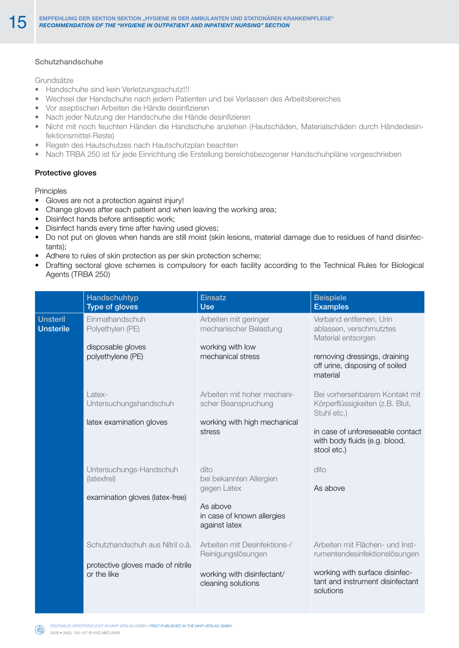### Schutzhandschuhe

Grundsätze

- Handschuhe sind kein Verletzungsschutz!!!
- • Wechsel der Handschuhe nach jedem Patienten und bei Verlassen des Arbeitsbereiches
- • Vor aseptischen Arbeiten die Hände desinfizieren
- Nach jeder Nutzung der Handschuhe die Hände desinfizieren
- • Nicht mit noch feuchten Händen die Handschuhe anziehen (Hautschäden, Materialschäden durch Händedesinfektionsmittel-Reste)
- Regeln des Hautschutzes nach Hautschutzplan beachten
- Nach TRBA 250 ist für jede Einrichtung die Erstellung bereichsbezogener Handschuhpläne vorgeschrieben

#### Protective gloves

#### **Principles**

- Gloves are not a protection against injury!
- Change gloves after each patient and when leaving the working area;
- • Disinfect hands before antiseptic work;
- Disinfect hands every time after having used gloves;
- • Do not put on gloves when hands are still moist (skin lesions, material damage due to residues of hand disinfectants);
- Adhere to rules of skin protection as per skin protection scheme;
- Drafting sectoral glove schemes is compulsory for each facility according to the Technical Rules for Biological Agents (TRBA 250)

|                                     | <b>Handschuhtyp</b><br><b>Type of gloves</b>                                        | <b>Einsatz</b><br><b>Use</b>                                                                              | <b>Beispiele</b><br><b>Examples</b>                                                                                                                                  |
|-------------------------------------|-------------------------------------------------------------------------------------|-----------------------------------------------------------------------------------------------------------|----------------------------------------------------------------------------------------------------------------------------------------------------------------------|
| <b>Unsteril</b><br><b>Unsterile</b> | Einmalhandschuh<br>Polyethylen (PE)<br>disposable gloves<br>polyethylene (PE)       | Arbeiten mit geringer<br>mechanischer Belastung<br>working with low<br>mechanical stress                  | Verband entfernen, Urin<br>ablassen, verschmutztes<br>Material entsorgen<br>removing dressings, draining<br>off urine, disposing of soiled<br>material               |
|                                     | Latex-<br>Untersuchungshandschuh<br>latex examination gloves                        | Arbeiten mit hoher mechani-<br>scher Beanspruchung<br>working with high mechanical<br>stress              | Bei vorhersehbarem Kontakt mit<br>Körperflüssigkeiten (z.B. Blut,<br>Stuhl etc.)<br>in case of unforeseeable contact<br>with body fluids (e.g. blood,<br>stool etc.) |
|                                     | Untersuchungs-Handschuh<br>(latexfrei)<br>examination gloves (latex-free)           | dito<br>bei bekannten Allergien<br>gegen Latex<br>As above<br>in case of known allergies<br>against latex | dito<br>As above                                                                                                                                                     |
|                                     | Schutzhandschuh aus Nitril o.ä.<br>protective gloves made of nitrile<br>or the like | Arbeiten mit Desinfektions-/<br>Reinigungslösungen<br>working with disinfectant/<br>cleaning solutions    | Arbeiten mit Flächen- und Inst-<br>rumentendesinfektionslösungen<br>working with surface disinfec-<br>tant and instrument disinfectant<br>solutions                  |